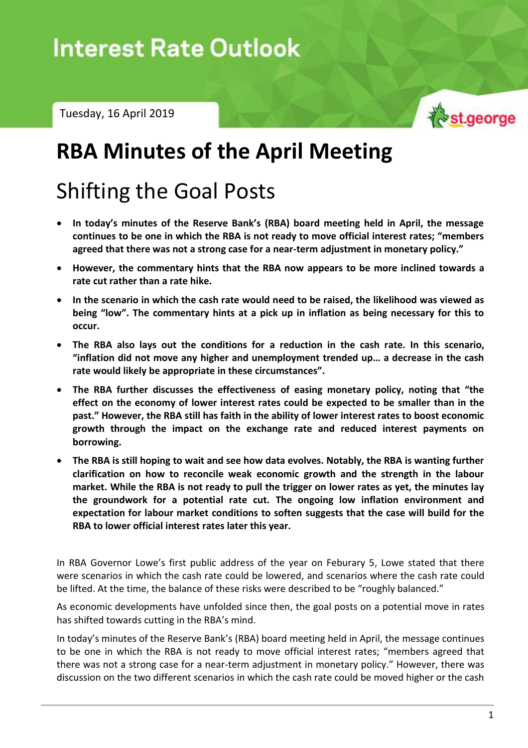Tuesday, 16 April 2019



# **RBA Minutes of the April Meeting**

# Shifting the Goal Posts

- **In today's minutes of the Reserve Bank's (RBA) board meeting held in April, the message continues to be one in which the RBA is not ready to move official interest rates; "members agreed that there was not a strong case for a near-term adjustment in monetary policy."**
- **However, the commentary hints that the RBA now appears to be more inclined towards a rate cut rather than a rate hike.**
- **In the scenario in which the cash rate would need to be raised, the likelihood was viewed as being "low". The commentary hints at a pick up in inflation as being necessary for this to occur.**
- **The RBA also lays out the conditions for a reduction in the cash rate. In this scenario, "inflation did not move any higher and unemployment trended up… a decrease in the cash rate would likely be appropriate in these circumstances".**
- **The RBA further discusses the effectiveness of easing monetary policy, noting that "the effect on the economy of lower interest rates could be expected to be smaller than in the past." However, the RBA still has faith in the ability of lower interest rates to boost economic growth through the impact on the exchange rate and reduced interest payments on borrowing.**
- **The RBA is still hoping to wait and see how data evolves. Notably, the RBA is wanting further clarification on how to reconcile weak economic growth and the strength in the labour market. While the RBA is not ready to pull the trigger on lower rates as yet, the minutes lay the groundwork for a potential rate cut. The ongoing low inflation environment and expectation for labour market conditions to soften suggests that the case will build for the RBA to lower official interest rates later this year.**

In RBA Governor Lowe's first public address of the year on Feburary 5, Lowe stated that there were scenarios in which the cash rate could be lowered, and scenarios where the cash rate could be lifted. At the time, the balance of these risks were described to be "roughly balanced."

As economic developments have unfolded since then, the goal posts on a potential move in rates has shifted towards cutting in the RBA's mind.

In today's minutes of the Reserve Bank's (RBA) board meeting held in April, the message continues to be one in which the RBA is not ready to move official interest rates; "members agreed that there was not a strong case for a near-term adjustment in monetary policy." However, there was discussion on the two different scenarios in which the cash rate could be moved higher or the cash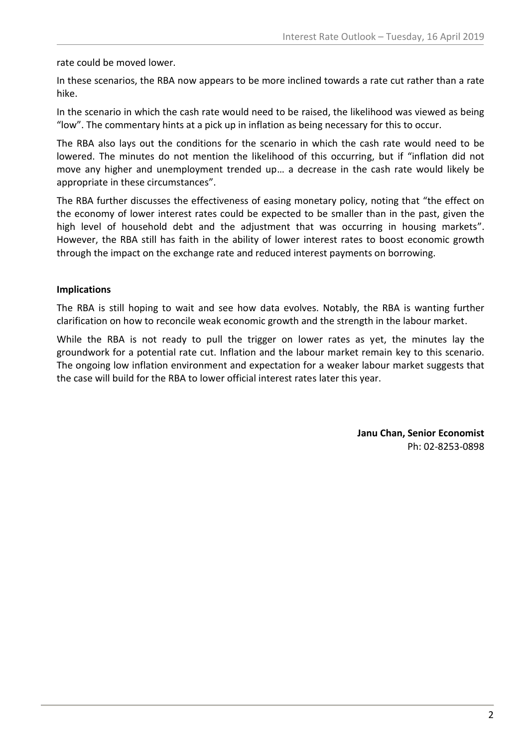rate could be moved lower.

In these scenarios, the RBA now appears to be more inclined towards a rate cut rather than a rate hike.

In the scenario in which the cash rate would need to be raised, the likelihood was viewed as being "low". The commentary hints at a pick up in inflation as being necessary for this to occur.

The RBA also lays out the conditions for the scenario in which the cash rate would need to be lowered. The minutes do not mention the likelihood of this occurring, but if "inflation did not move any higher and unemployment trended up… a decrease in the cash rate would likely be appropriate in these circumstances".

The RBA further discusses the effectiveness of easing monetary policy, noting that "the effect on the economy of lower interest rates could be expected to be smaller than in the past, given the high level of household debt and the adjustment that was occurring in housing markets". However, the RBA still has faith in the ability of lower interest rates to boost economic growth through the impact on the exchange rate and reduced interest payments on borrowing.

## **Implications**

The RBA is still hoping to wait and see how data evolves. Notably, the RBA is wanting further clarification on how to reconcile weak economic growth and the strength in the labour market.

While the RBA is not ready to pull the trigger on lower rates as yet, the minutes lay the groundwork for a potential rate cut. Inflation and the labour market remain key to this scenario. The ongoing low inflation environment and expectation for a weaker labour market suggests that the case will build for the RBA to lower official interest rates later this year.

> **Janu Chan, Senior Economist** Ph: 02-8253-0898